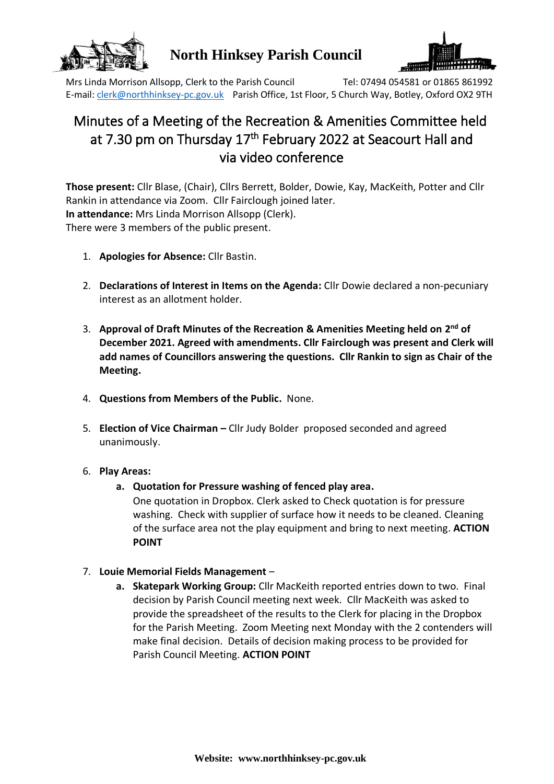

## **North Hinksey Parish Council**



Mrs Linda Morrison Allsopp, Clerk to the Parish Council Tel: 07494 054581 or 01865 861992 E-mail: [clerk@northhinksey-pc.gov.uk](mailto:clerk@northhinksey-pc.gov.uk) Parish Office, 1st Floor, 5 Church Way, Botley, Oxford OX2 9TH

# Minutes of a Meeting of the Recreation & Amenities Committee held at 7.30 pm on Thursday 17<sup>th</sup> February 2022 at Seacourt Hall and via video conference

**Those present:** Cllr Blase, (Chair), Cllrs Berrett, Bolder, Dowie, Kay, MacKeith, Potter and Cllr Rankin in attendance via Zoom. Cllr Fairclough joined later. **In attendance:** Mrs Linda Morrison Allsopp (Clerk). There were 3 members of the public present.

- 1. **Apologies for Absence:** Cllr Bastin.
- 2. **Declarations of Interest in Items on the Agenda:** Cllr Dowie declared a non-pecuniary interest as an allotment holder.
- 3. **Approval of Draft Minutes of the Recreation & Amenities Meeting held on 2 nd of December 2021. Agreed with amendments. Cllr Fairclough was present and Clerk will add names of Councillors answering the questions. Cllr Rankin to sign as Chair of the Meeting.**
- 4. **Questions from Members of the Public.** None.
- 5. **Election of Vice Chairman –** Cllr Judy Bolder proposed seconded and agreed unanimously.
- 6. **Play Areas:**
	- **a. Quotation for Pressure washing of fenced play area.**

One quotation in Dropbox. Clerk asked to Check quotation is for pressure washing. Check with supplier of surface how it needs to be cleaned. Cleaning of the surface area not the play equipment and bring to next meeting. **ACTION POINT**

- 7. **Louie Memorial Fields Management**
	- **a. Skatepark Working Group:** Cllr MacKeith reported entries down to two. Final decision by Parish Council meeting next week. Cllr MacKeith was asked to provide the spreadsheet of the results to the Clerk for placing in the Dropbox for the Parish Meeting. Zoom Meeting next Monday with the 2 contenders will make final decision. Details of decision making process to be provided for Parish Council Meeting. **ACTION POINT**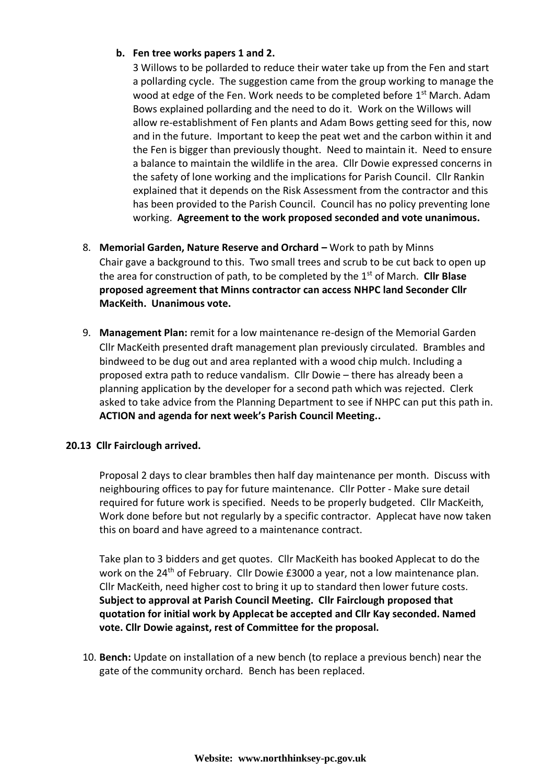### **b. Fen tree works papers 1 and 2.**

3 Willows to be pollarded to reduce their water take up from the Fen and start a pollarding cycle. The suggestion came from the group working to manage the wood at edge of the Fen. Work needs to be completed before 1<sup>st</sup> March. Adam Bows explained pollarding and the need to do it. Work on the Willows will allow re-establishment of Fen plants and Adam Bows getting seed for this, now and in the future. Important to keep the peat wet and the carbon within it and the Fen is bigger than previously thought. Need to maintain it. Need to ensure a balance to maintain the wildlife in the area. Cllr Dowie expressed concerns in the safety of lone working and the implications for Parish Council. Cllr Rankin explained that it depends on the Risk Assessment from the contractor and this has been provided to the Parish Council. Council has no policy preventing lone working. **Agreement to the work proposed seconded and vote unanimous.**

- 8. **Memorial Garden, Nature Reserve and Orchard –** Work to path by Minns Chair gave a background to this. Two small trees and scrub to be cut back to open up the area for construction of path, to be completed by the 1st of March. **Cllr Blase proposed agreement that Minns contractor can access NHPC land Seconder Cllr MacKeith. Unanimous vote.**
- 9. **Management Plan:** remit for a low maintenance re-design of the Memorial Garden Cllr MacKeith presented draft management plan previously circulated. Brambles and bindweed to be dug out and area replanted with a wood chip mulch. Including a proposed extra path to reduce vandalism. Cllr Dowie – there has already been a planning application by the developer for a second path which was rejected. Clerk asked to take advice from the Planning Department to see if NHPC can put this path in. **ACTION and agenda for next week's Parish Council Meeting..**

#### **20.13 Cllr Fairclough arrived.**

Proposal 2 days to clear brambles then half day maintenance per month. Discuss with neighbouring offices to pay for future maintenance. Cllr Potter - Make sure detail required for future work is specified. Needs to be properly budgeted. Cllr MacKeith, Work done before but not regularly by a specific contractor. Applecat have now taken this on board and have agreed to a maintenance contract.

Take plan to 3 bidders and get quotes. Cllr MacKeith has booked Applecat to do the work on the 24<sup>th</sup> of February. Cllr Dowie £3000 a year, not a low maintenance plan. Cllr MacKeith, need higher cost to bring it up to standard then lower future costs. **Subject to approval at Parish Council Meeting. Cllr Fairclough proposed that quotation for initial work by Applecat be accepted and Cllr Kay seconded. Named vote. Cllr Dowie against, rest of Committee for the proposal.**

10. **Bench:** Update on installation of a new bench (to replace a previous bench) near the gate of the community orchard. Bench has been replaced.